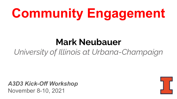# **Community Engagement**

## **Mark Neubauer**

## *University of Illinois at Urbana-Champaign*

*A3D3 Kick-Off Workshop* November 8-10, 2021

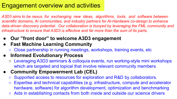### Engagement overview and activities

*A3D3 aims to be nexus for exchanging new ideas, algorithms, tools, and software between scientific domains, AI communities, and industry partners for AI-Hardware co-design to enhance data-driven discovery potential. Our collaboration is buoyed by leveraging the FML community and infrastructure to ensure that A3D3 is effective and far more than the sum of its parts.*

- **● Our "front door" to welcome A3D3 engagement**
- **● Fast Machine Learning Community**
	- Close partnership in running meetings, workshops, training events, etc
- **● Informed Evolutionary Process**
	- Leveraging A3D3 seminars & colloquia events, run working-style mini workshops which are targeted and topical that involve relevant community members
- **● Community Empowerment Lab (CEL)**
	- Supported access to resources for exploration and R&D by collaborators.
	- Expertise and technical capabilities (e.g. infrastructure, compute and accelerator hardware, software) for algorithm development, optimization and benchmarking
	- Aids in establishing contacts from both inside and outside our science drivers